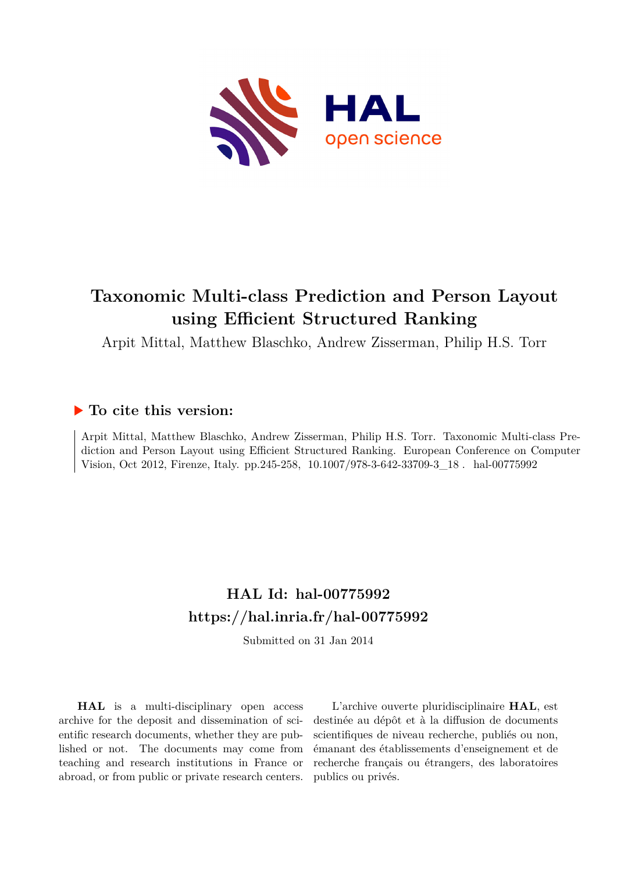

# **Taxonomic Multi-class Prediction and Person Layout using Efficient Structured Ranking**

Arpit Mittal, Matthew Blaschko, Andrew Zisserman, Philip H.S. Torr

# **To cite this version:**

Arpit Mittal, Matthew Blaschko, Andrew Zisserman, Philip H.S. Torr. Taxonomic Multi-class Prediction and Person Layout using Efficient Structured Ranking. European Conference on Computer Vision, Oct 2012, Firenze, Italy. pp.245-258, 10.1007/978-3-642-33709-3\_18. hal-00775992

# **HAL Id: hal-00775992 <https://hal.inria.fr/hal-00775992>**

Submitted on 31 Jan 2014

**HAL** is a multi-disciplinary open access archive for the deposit and dissemination of scientific research documents, whether they are published or not. The documents may come from teaching and research institutions in France or abroad, or from public or private research centers.

L'archive ouverte pluridisciplinaire **HAL**, est destinée au dépôt et à la diffusion de documents scientifiques de niveau recherche, publiés ou non, émanant des établissements d'enseignement et de recherche français ou étrangers, des laboratoires publics ou privés.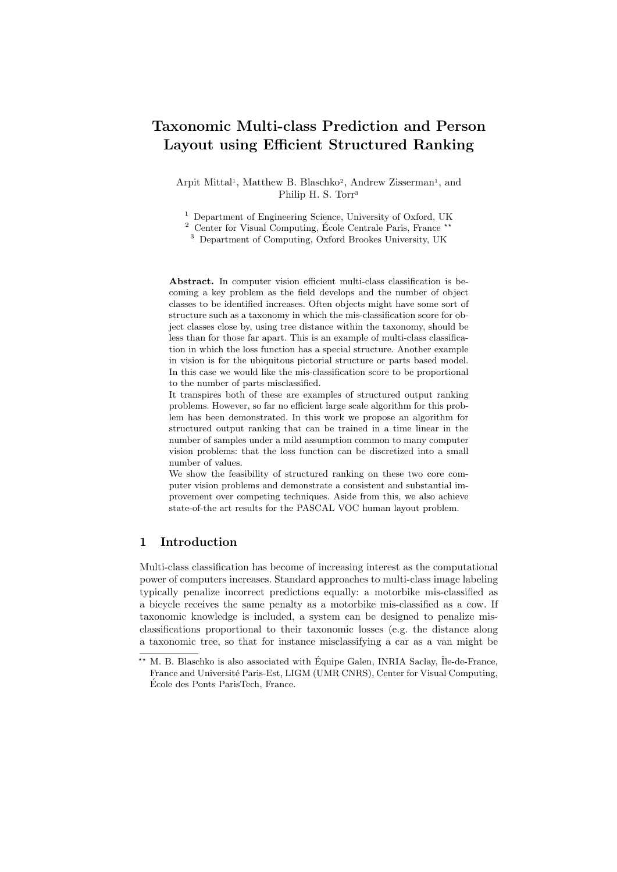# Taxonomic Multi-class Prediction and Person Layout using Efficient Structured Ranking

Arpit Mittal<sup>1</sup>, Matthew B. Blaschko<sup>2</sup>, Andrew Zisserman<sup>1</sup>, and Philip H. S. Torr<sup>3</sup>

<sup>1</sup> Department of Engineering Science, University of Oxford, UK

<sup>2</sup> Center for Visual Computing, École Centrale Paris, France  $\star$ 

<sup>3</sup> Department of Computing, Oxford Brookes University, UK

Abstract. In computer vision efficient multi-class classification is becoming a key problem as the field develops and the number of object classes to be identified increases. Often objects might have some sort of structure such as a taxonomy in which the mis-classification score for object classes close by, using tree distance within the taxonomy, should be less than for those far apart. This is an example of multi-class classification in which the loss function has a special structure. Another example in vision is for the ubiquitous pictorial structure or parts based model. In this case we would like the mis-classification score to be proportional to the number of parts misclassified.

It transpires both of these are examples of structured output ranking problems. However, so far no efficient large scale algorithm for this problem has been demonstrated. In this work we propose an algorithm for structured output ranking that can be trained in a time linear in the number of samples under a mild assumption common to many computer vision problems: that the loss function can be discretized into a small number of values.

We show the feasibility of structured ranking on these two core computer vision problems and demonstrate a consistent and substantial improvement over competing techniques. Aside from this, we also achieve state-of-the art results for the PASCAL VOC human layout problem.

# 1 Introduction

Multi-class classification has become of increasing interest as the computational power of computers increases. Standard approaches to multi-class image labeling typically penalize incorrect predictions equally: a motorbike mis-classified as a bicycle receives the same penalty as a motorbike mis-classified as a cow. If taxonomic knowledge is included, a system can be designed to penalize misclassifications proportional to their taxonomic losses (e.g. the distance along a taxonomic tree, so that for instance misclassifying a car as a van might be

 $*$ \* M. B. Blaschko is also associated with Équipe Galen, INRIA Saclay, Île-de-France, France and Université Paris-Est, LIGM (UMR CNRS), Center for Visual Computing, Ecole des Ponts ParisTech, France. ´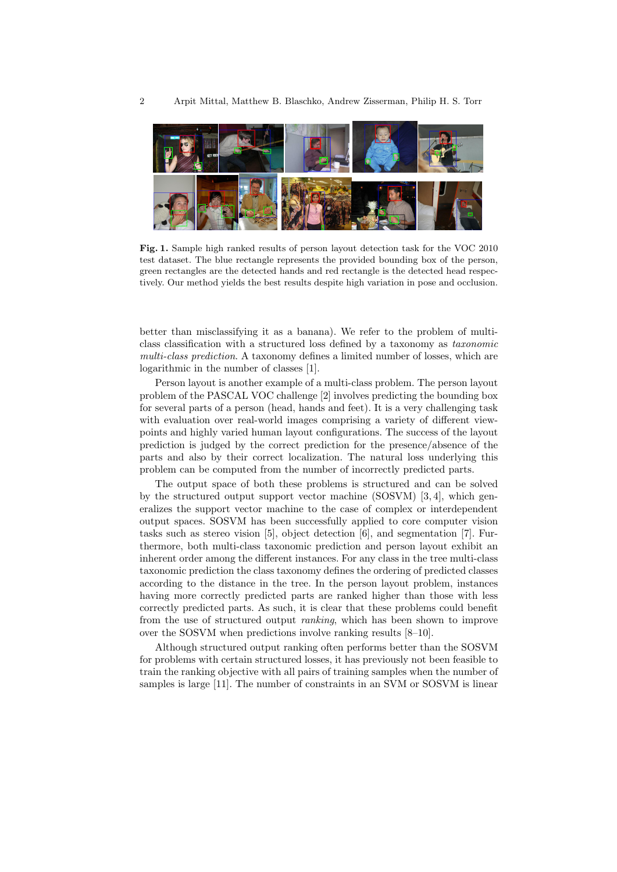

Fig. 1. Sample high ranked results of person layout detection task for the VOC 2010 test dataset. The blue rectangle represents the provided bounding box of the person, green rectangles are the detected hands and red rectangle is the detected head respectively. Our method yields the best results despite high variation in pose and occlusion.

better than misclassifying it as a banana). We refer to the problem of multiclass classification with a structured loss defined by a taxonomy as taxonomic multi-class prediction. A taxonomy defines a limited number of losses, which are logarithmic in the number of classes [1].

Person layout is another example of a multi-class problem. The person layout problem of the PASCAL VOC challenge [2] involves predicting the bounding box for several parts of a person (head, hands and feet). It is a very challenging task with evaluation over real-world images comprising a variety of different viewpoints and highly varied human layout configurations. The success of the layout prediction is judged by the correct prediction for the presence/absence of the parts and also by their correct localization. The natural loss underlying this problem can be computed from the number of incorrectly predicted parts.

The output space of both these problems is structured and can be solved by the structured output support vector machine (SOSVM) [3, 4], which generalizes the support vector machine to the case of complex or interdependent output spaces. SOSVM has been successfully applied to core computer vision tasks such as stereo vision [5], object detection [6], and segmentation [7]. Furthermore, both multi-class taxonomic prediction and person layout exhibit an inherent order among the different instances. For any class in the tree multi-class taxonomic prediction the class taxonomy defines the ordering of predicted classes according to the distance in the tree. In the person layout problem, instances having more correctly predicted parts are ranked higher than those with less correctly predicted parts. As such, it is clear that these problems could benefit from the use of structured output ranking, which has been shown to improve over the SOSVM when predictions involve ranking results [8–10].

Although structured output ranking often performs better than the SOSVM for problems with certain structured losses, it has previously not been feasible to train the ranking objective with all pairs of training samples when the number of samples is large [11]. The number of constraints in an SVM or SOSVM is linear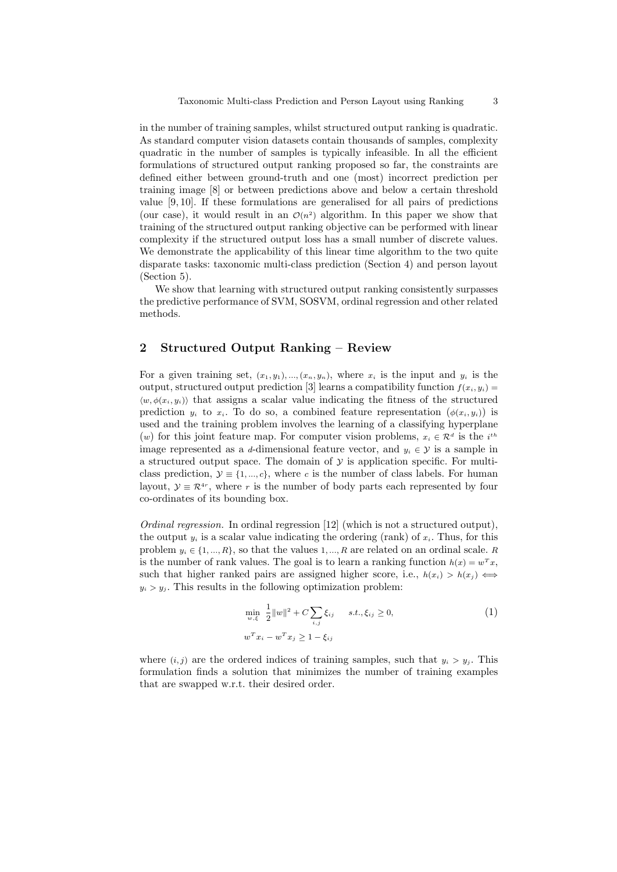in the number of training samples, whilst structured output ranking is quadratic. As standard computer vision datasets contain thousands of samples, complexity quadratic in the number of samples is typically infeasible. In all the efficient formulations of structured output ranking proposed so far, the constraints are defined either between ground-truth and one (most) incorrect prediction per training image [8] or between predictions above and below a certain threshold value [9, 10]. If these formulations are generalised for all pairs of predictions (our case), it would result in an  $\mathcal{O}(n^2)$  algorithm. In this paper we show that training of the structured output ranking objective can be performed with linear complexity if the structured output loss has a small number of discrete values. We demonstrate the applicability of this linear time algorithm to the two quite disparate tasks: taxonomic multi-class prediction (Section 4) and person layout (Section 5).

We show that learning with structured output ranking consistently surpasses the predictive performance of SVM, SOSVM, ordinal regression and other related methods.

## 2 Structured Output Ranking – Review

For a given training set,  $(x_1, y_1), ..., (x_n, y_n)$ , where  $x_i$  is the input and  $y_i$  is the output, structured output prediction [3] learns a compatibility function  $f(x_i, y_i) =$  $\langle w, \phi(x_i, y_i) \rangle$  that assigns a scalar value indicating the fitness of the structured prediction  $y_i$  to  $x_i$ . To do so, a combined feature representation  $(\phi(x_i, y_i))$  is used and the training problem involves the learning of a classifying hyperplane (w) for this joint feature map. For computer vision problems,  $x_i \in \mathbb{R}^d$  is the  $i^{th}$ image represented as a d-dimensional feature vector, and  $y_i \in \mathcal{Y}$  is a sample in a structured output space. The domain of  $\mathcal Y$  is application specific. For multiclass prediction,  $\mathcal{Y} \equiv \{1, ..., c\}$ , where c is the number of class labels. For human layout,  $\mathcal{Y} \equiv \mathcal{R}^{4r}$ , where r is the number of body parts each represented by four co-ordinates of its bounding box.

Ordinal regression. In ordinal regression [12] (which is not a structured output), the output  $y_i$  is a scalar value indicating the ordering (rank) of  $x_i$ . Thus, for this problem  $y_i \in \{1, ..., R\}$ , so that the values  $1, ..., R$  are related on an ordinal scale. R is the number of rank values. The goal is to learn a ranking function  $h(x) = w^T x$ , such that higher ranked pairs are assigned higher score, i.e.,  $h(x_i) > h(x_i) \iff$  $y_i > y_j$ . This results in the following optimization problem:

$$
\min_{w,\xi} \frac{1}{2} ||w||^2 + C \sum_{i,j} \xi_{ij} \quad s.t., \xi_{ij} \ge 0,
$$
\n
$$
(1)
$$
\n
$$
w^T x_i - w^T x_j \ge 1 - \xi_{ij}
$$

where  $(i, j)$  are the ordered indices of training samples, such that  $y_i > y_j$ . This formulation finds a solution that minimizes the number of training examples that are swapped w.r.t. their desired order.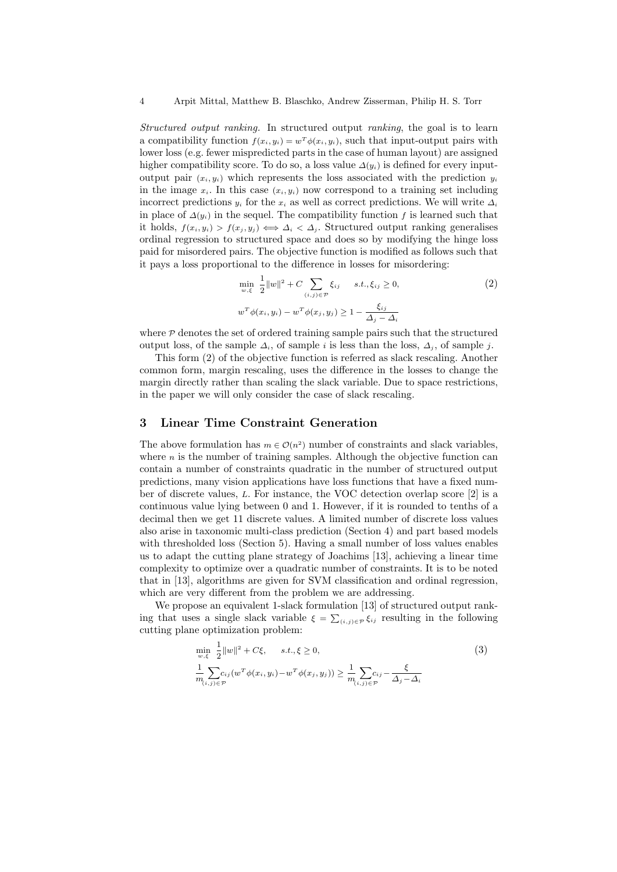Structured output ranking. In structured output ranking, the goal is to learn a compatibility function  $f(x_i, y_i) = w^T \phi(x_i, y_i)$ , such that input-output pairs with lower loss (e.g. fewer mispredicted parts in the case of human layout) are assigned higher compatibility score. To do so, a loss value  $\Delta(y_i)$  is defined for every inputoutput pair  $(x_i, y_i)$  which represents the loss associated with the prediction  $y_i$ in the image  $x_i$ . In this case  $(x_i, y_i)$  now correspond to a training set including incorrect predictions  $y_i$  for the  $x_i$  as well as correct predictions. We will write  $\Delta_i$ in place of  $\Delta(y_i)$  in the sequel. The compatibility function f is learned such that it holds,  $f(x_i, y_i) > f(x_j, y_j) \iff \Delta_i < \Delta_j$ . Structured output ranking generalises ordinal regression to structured space and does so by modifying the hinge loss paid for misordered pairs. The objective function is modified as follows such that it pays a loss proportional to the difference in losses for misordering:

$$
\min_{w,\xi} \frac{1}{2} ||w||^2 + C \sum_{(i,j) \in \mathcal{P}} \xi_{ij} \quad s.t., \xi_{ij} \ge 0,
$$
\n
$$
w^T \phi(x_i, y_i) - w^T \phi(x_j, y_j) \ge 1 - \frac{\xi_{ij}}{\Delta_j - \Delta_i}
$$
\n
$$
(2)
$$

where  $P$  denotes the set of ordered training sample pairs such that the structured output loss, of the sample  $\Delta_i$ , of sample *i* is less than the loss,  $\Delta_i$ , of sample *j*.

This form (2) of the objective function is referred as slack rescaling. Another common form, margin rescaling, uses the difference in the losses to change the margin directly rather than scaling the slack variable. Due to space restrictions, in the paper we will only consider the case of slack rescaling.

#### 3 Linear Time Constraint Generation

The above formulation has  $m \in \mathcal{O}(n^2)$  number of constraints and slack variables, where  $n$  is the number of training samples. Although the objective function can contain a number of constraints quadratic in the number of structured output predictions, many vision applications have loss functions that have a fixed number of discrete values, L. For instance, the VOC detection overlap score [2] is a continuous value lying between 0 and 1. However, if it is rounded to tenths of a decimal then we get 11 discrete values. A limited number of discrete loss values also arise in taxonomic multi-class prediction (Section 4) and part based models with thresholded loss (Section 5). Having a small number of loss values enables us to adapt the cutting plane strategy of Joachims [13], achieving a linear time complexity to optimize over a quadratic number of constraints. It is to be noted that in [13], algorithms are given for SVM classification and ordinal regression, which are very different from the problem we are addressing.

We propose an equivalent 1-slack formulation [13] of structured output ranking that uses a single slack variable  $\xi = \sum_{(i,j) \in \mathcal{P}} \xi_{ij}$  resulting in the following cutting plane optimization problem:

$$
\min_{w,\xi} \frac{1}{2} ||w||^2 + C\xi, \quad s.t., \xi \ge 0,
$$
\n
$$
\frac{1}{m_i} \sum_{(i,j) \in \mathcal{P}} c_{ij} (w^T \phi(x_i, y_i) - w^T \phi(x_j, y_j)) \ge \frac{1}{m_i} \sum_{(i,j) \in \mathcal{P}} c_{ij} - \frac{\xi}{\Delta_j - \Delta_i}
$$
\n(3)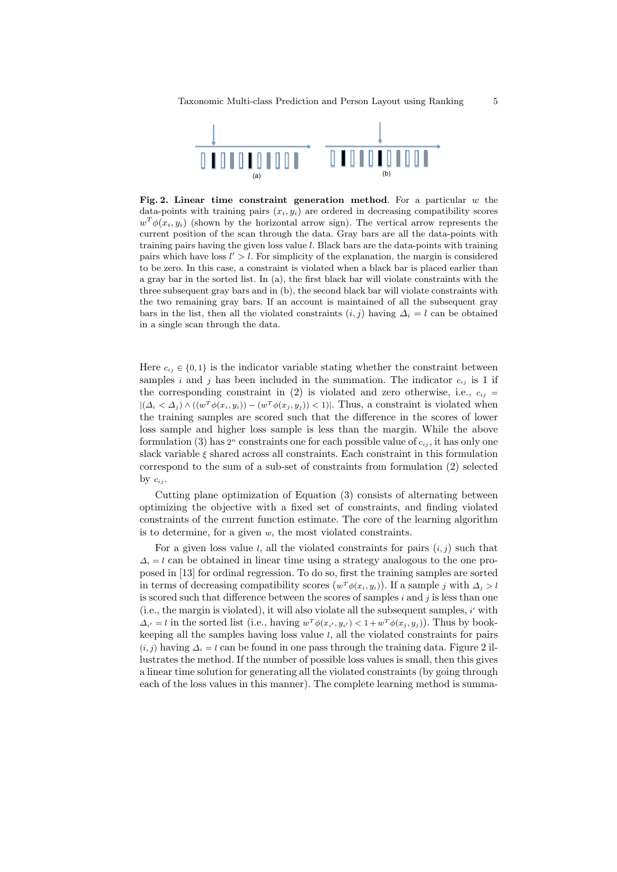

Fig. 2. Linear time constraint generation method. For a particular  $w$  the data-points with training pairs  $(x_i, y_i)$  are ordered in decreasing compatibility scores  $w^T \phi(x_i, y_i)$  (shown by the horizontal arrow sign). The vertical arrow represents the current position of the scan through the data. Gray bars are all the data-points with training pairs having the given loss value  $l$ . Black bars are the data-points with training pairs which have loss  $l' > l$ . For simplicity of the explanation, the margin is considered to be zero. In this case, a constraint is violated when a black bar is placed earlier than a gray bar in the sorted list. In (a), the first black bar will violate constraints with the three subsequent gray bars and in (b), the second black bar will violate constraints with the two remaining gray bars. If an account is maintained of all the subsequent gray bars in the list, then all the violated constraints  $(i, j)$  having  $\Delta_i = l$  can be obtained in a single scan through the data.

Here  $c_{ij} \in \{0,1\}$  is the indicator variable stating whether the constraint between samples i and j has been included in the summation. The indicator  $c_{ij}$  is 1 if the corresponding constraint in (2) is violated and zero otherwise, i.e.,  $c_{ij}$  =  $|(\Delta_i \langle \Delta_j) \wedge ((w^T \phi(x_i, y_i)) - (w^T \phi(x_j, y_j)) \langle \Delta_k) \rangle|$ . Thus, a constraint is violated when the training samples are scored such that the difference in the scores of lower loss sample and higher loss sample is less than the margin. While the above formulation (3) has  $2^n$  constraints one for each possible value of  $c_{ij}$ , it has only one slack variable  $\xi$  shared across all constraints. Each constraint in this formulation correspond to the sum of a sub-set of constraints from formulation (2) selected by  $c_{ij}$ .

Cutting plane optimization of Equation (3) consists of alternating between optimizing the objective with a fixed set of constraints, and finding violated constraints of the current function estimate. The core of the learning algorithm is to determine, for a given  $w$ , the most violated constraints.

For a given loss value *l*, all the violated constraints for pairs  $(i, j)$  such that  $\Delta_i = l$  can be obtained in linear time using a strategy analogous to the one proposed in [13] for ordinal regression. To do so, first the training samples are sorted in terms of decreasing compatibility scores  $(w^T \phi(x_i, y_i))$ . If a sample j with  $\Delta_i > l$ is scored such that difference between the scores of samples  $i$  and  $j$  is less than one  $(i.e., the margin is violated), it will also violate all the subsequent samples,  $i'$  with$  $\Delta_{i'} = l$  in the sorted list (i.e., having  $w^T \phi(x_{i'}, y_{i'}) < 1 + w^T \phi(x_j, y_j)$ ). Thus by bookkeeping all the samples having loss value  $l$ , all the violated constraints for pairs  $(i, j)$  having  $\Delta_i = l$  can be found in one pass through the training data. Figure 2 illustrates the method. If the number of possible loss values is small, then this gives a linear time solution for generating all the violated constraints (by going through each of the loss values in this manner). The complete learning method is summa-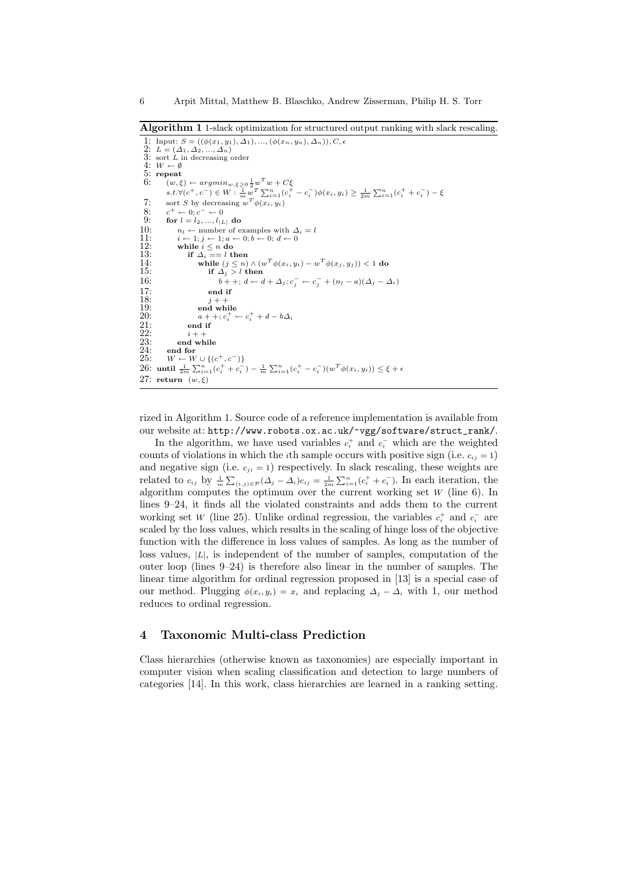Algorithm 1 1-slack optimization for structured output ranking with slack rescaling.

```
1: Input: S = ((\phi(x_1, y_1), \Delta_1), ..., (\phi(x_n, y_n), \Delta_n)), C, \epsilon)2: L = (\Delta_1, \Delta_2, ..., \Delta_n)<br>3: sort L in decreasing order
 4: W \leftarrow \emptyset5: repeat
  6: (w, \xi) \leftarrow argmin_{w, \xi \geq 0} \frac{1}{2} w^T w + C \xis.t. \forall (c^+, c^-) \in W: \frac{1}{m} w^T \sum_{i=1}^n (c_i^+ - c_i^-) \phi(x_i, y_i) \geq \frac{1}{2m} \sum_{i=1}^n (c_i^+ + c_i^-) - \xi7: sort S by decreasing w^T \phi(x_i, y_i)\frac{8}{9}:
               t^+ \leftarrow 0; c^- \leftarrow 09: for l = l_2, ..., l_{|L|} do<br>10: n_l \leftarrow number of \epsilon10: n_l \leftarrow number of examples with \Delta_i = l<br>11: i \leftarrow 1; j \leftarrow 1; a \leftarrow 0; b \leftarrow 0; d \leftarrow 011: i \leftarrow 1; j \leftarrow 1; a \leftarrow 0; b \leftarrow 0; d \leftarrow 0<br>12: while i \leq n do
12: while i \leq n do<br>13: if \Delta_i == l t
13: if \overline{\Delta_i} = l then<br>14: while (i \leq n)14: while (j \leq n) \wedge (w^T \phi(x_i, y_i) - w^T \phi(x_j, y_j)) < 1 do
15: if \Delta_i > l then
16: b + +; d \leftarrow d + \Delta_j; c_j^- \leftarrow c_j^- + (n_l - a)(\Delta_j - \Delta_i)17: end if<br>18: i + +18: j + 1<br>19: j + 119: end while<br>20: a + \frac{1}{2}:
20: a + +; c_i^+ \leftarrow c_i^+ + d - b\Delta_i21: end if<br>
\begin{array}{ccc} 21 & \text{end if} \\ 22 & & i++ \end{array}22: i + -<br>23: end wl
23: end while<br>
24: end for<br>
25: W \leftarrow W \cup \{0\}24: end for<br>25: W \leftarrow W \cup \{(c^+, c^-)\}26: until \frac{1}{2m} \sum_{i=1}^{n} (c_i^+ + c_i^-) - \frac{1}{m} \sum_{i=1}^{n} (c_i^+ - c_i^-) (w^T \phi(x_i, y_i)) \leq \xi + \epsilon27: return (w, \xi)
```
rized in Algorithm 1. Source code of a reference implementation is available from our website at: http://www.robots.ox.ac.uk/~vgg/software/struct\_rank/.

In the algorithm, we have used variables  $c_i^+$  and  $c_i^-$  which are the weighted counts of violations in which the *i*th sample occurs with positive sign (i.e.  $c_{ij} = 1$ ) and negative sign (i.e.  $c_{ji} = 1$ ) respectively. In slack rescaling, these weights are related to  $c_{ij}$  by  $\frac{1}{m} \sum_{(i,j) \in \mathcal{P}} (\Delta_j - \Delta_i) c_{ij} = \frac{1}{2m} \sum_{i=1}^n (c_i^+ + c_i^-)$ . In each iteration, the algorithm computes the optimum over the current working set  $W$  (line 6). In lines 9–24, it finds all the violated constraints and adds them to the current working set W (line 25). Unlike ordinal regression, the variables  $c_i^+$  and  $c_i^-$  are scaled by the loss values, which results in the scaling of hinge loss of the objective function with the difference in loss values of samples. As long as the number of loss values,  $|L|$ , is independent of the number of samples, computation of the outer loop (lines 9–24) is therefore also linear in the number of samples. The linear time algorithm for ordinal regression proposed in [13] is a special case of our method. Plugging  $\phi(x_i, y_i) = x_i$  and replacing  $\Delta_i - \Delta_i$  with 1, our method reduces to ordinal regression.

# 4 Taxonomic Multi-class Prediction

Class hierarchies (otherwise known as taxonomies) are especially important in computer vision when scaling classification and detection to large numbers of categories [14]. In this work, class hierarchies are learned in a ranking setting.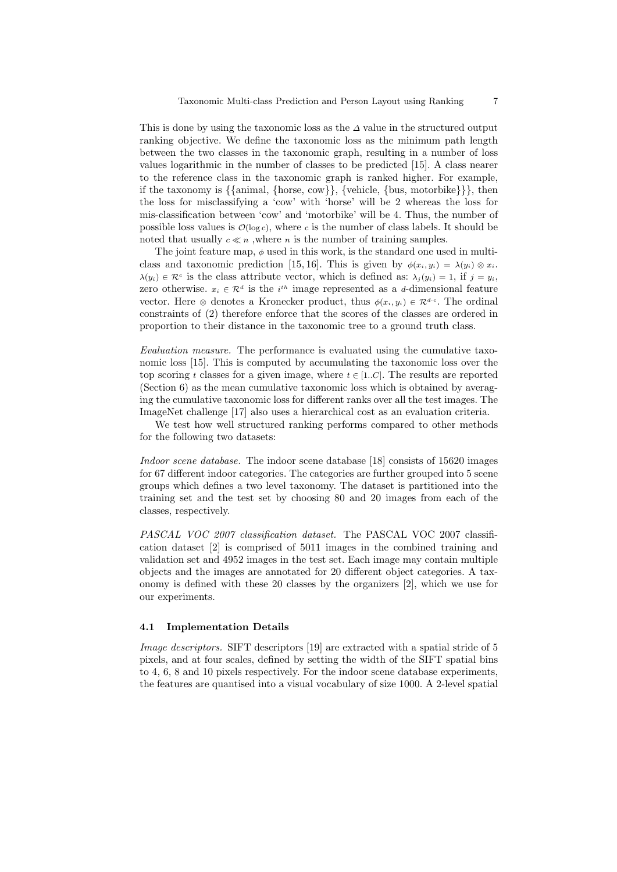This is done by using the taxonomic loss as the  $\Delta$  value in the structured output ranking objective. We define the taxonomic loss as the minimum path length between the two classes in the taxonomic graph, resulting in a number of loss values logarithmic in the number of classes to be predicted [15]. A class nearer to the reference class in the taxonomic graph is ranked higher. For example, if the taxonomy is  $\{\{\text{animal}, \{\text{horse}, \text{cow}\}\}\$ ,  $\{\text{vehicle}, \{\text{bus}, \text{motorbike}\}\}\$ , then the loss for misclassifying a 'cow' with 'horse' will be 2 whereas the loss for mis-classification between 'cow' and 'motorbike' will be 4. Thus, the number of possible loss values is  $\mathcal{O}(\log c)$ , where c is the number of class labels. It should be noted that usually  $c \ll n$ , where n is the number of training samples.

The joint feature map,  $\phi$  used in this work, is the standard one used in multiclass and taxonomic prediction [15, 16]. This is given by  $\phi(x_i, y_i) = \lambda(y_i) \otimes x_i$ .  $\lambda(y_i) \in \mathcal{R}^c$  is the class attribute vector, which is defined as:  $\lambda_j(y_i) = 1$ , if  $j = y_i$ , zero otherwise.  $x_i \in \mathbb{R}^d$  is the  $i^{th}$  image represented as a d-dimensional feature vector. Here  $\otimes$  denotes a Kronecker product, thus  $\phi(x_i, y_i) \in \mathcal{R}^{d \cdot c}$ . The ordinal constraints of (2) therefore enforce that the scores of the classes are ordered in proportion to their distance in the taxonomic tree to a ground truth class.

Evaluation measure. The performance is evaluated using the cumulative taxonomic loss [15]. This is computed by accumulating the taxonomic loss over the top scoring t classes for a given image, where  $t \in [1..C]$ . The results are reported (Section 6) as the mean cumulative taxonomic loss which is obtained by averaging the cumulative taxonomic loss for different ranks over all the test images. The ImageNet challenge [17] also uses a hierarchical cost as an evaluation criteria.

We test how well structured ranking performs compared to other methods for the following two datasets:

Indoor scene database. The indoor scene database [18] consists of 15620 images for 67 different indoor categories. The categories are further grouped into 5 scene groups which defines a two level taxonomy. The dataset is partitioned into the training set and the test set by choosing 80 and 20 images from each of the classes, respectively.

PASCAL VOC 2007 classification dataset. The PASCAL VOC 2007 classification dataset [2] is comprised of 5011 images in the combined training and validation set and 4952 images in the test set. Each image may contain multiple objects and the images are annotated for 20 different object categories. A taxonomy is defined with these 20 classes by the organizers [2], which we use for our experiments.

#### 4.1 Implementation Details

Image descriptors. SIFT descriptors [19] are extracted with a spatial stride of 5 pixels, and at four scales, defined by setting the width of the SIFT spatial bins to 4, 6, 8 and 10 pixels respectively. For the indoor scene database experiments, the features are quantised into a visual vocabulary of size 1000. A 2-level spatial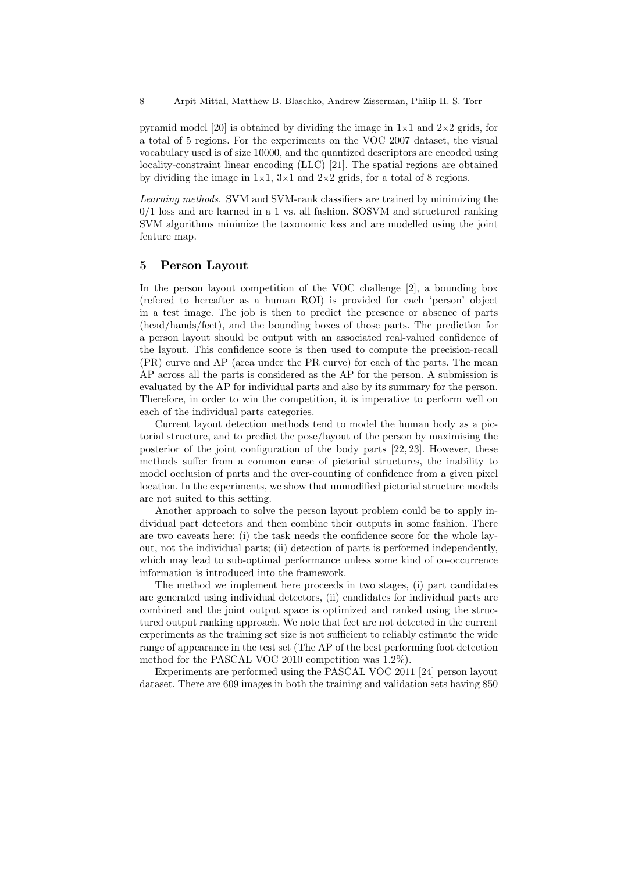pyramid model [20] is obtained by dividing the image in  $1\times1$  and  $2\times2$  grids, for a total of 5 regions. For the experiments on the VOC 2007 dataset, the visual vocabulary used is of size 10000, and the quantized descriptors are encoded using locality-constraint linear encoding (LLC) [21]. The spatial regions are obtained by dividing the image in  $1\times1$ ,  $3\times1$  and  $2\times2$  grids, for a total of 8 regions.

Learning methods. SVM and SVM-rank classifiers are trained by minimizing the  $0/1$  loss and are learned in a 1 vs. all fashion. SOSVM and structured ranking SVM algorithms minimize the taxonomic loss and are modelled using the joint feature map.

## 5 Person Layout

In the person layout competition of the VOC challenge [2], a bounding box (refered to hereafter as a human ROI) is provided for each 'person' object in a test image. The job is then to predict the presence or absence of parts (head/hands/feet), and the bounding boxes of those parts. The prediction for a person layout should be output with an associated real-valued confidence of the layout. This confidence score is then used to compute the precision-recall (PR) curve and AP (area under the PR curve) for each of the parts. The mean AP across all the parts is considered as the AP for the person. A submission is evaluated by the AP for individual parts and also by its summary for the person. Therefore, in order to win the competition, it is imperative to perform well on each of the individual parts categories.

Current layout detection methods tend to model the human body as a pictorial structure, and to predict the pose/layout of the person by maximising the posterior of the joint configuration of the body parts [22, 23]. However, these methods suffer from a common curse of pictorial structures, the inability to model occlusion of parts and the over-counting of confidence from a given pixel location. In the experiments, we show that unmodified pictorial structure models are not suited to this setting.

Another approach to solve the person layout problem could be to apply individual part detectors and then combine their outputs in some fashion. There are two caveats here: (i) the task needs the confidence score for the whole layout, not the individual parts; (ii) detection of parts is performed independently, which may lead to sub-optimal performance unless some kind of co-occurrence information is introduced into the framework.

The method we implement here proceeds in two stages, (i) part candidates are generated using individual detectors, (ii) candidates for individual parts are combined and the joint output space is optimized and ranked using the structured output ranking approach. We note that feet are not detected in the current experiments as the training set size is not sufficient to reliably estimate the wide range of appearance in the test set (The AP of the best performing foot detection method for the PASCAL VOC 2010 competition was 1.2%).

Experiments are performed using the PASCAL VOC 2011 [24] person layout dataset. There are 609 images in both the training and validation sets having 850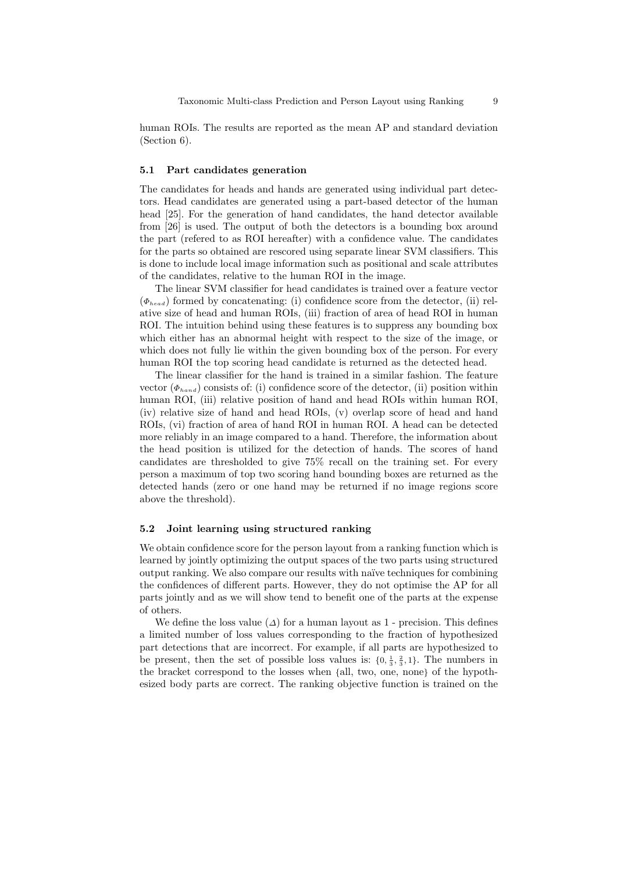human ROIs. The results are reported as the mean AP and standard deviation (Section 6).

#### 5.1 Part candidates generation

The candidates for heads and hands are generated using individual part detectors. Head candidates are generated using a part-based detector of the human head [25]. For the generation of hand candidates, the hand detector available from [26] is used. The output of both the detectors is a bounding box around the part (refered to as ROI hereafter) with a confidence value. The candidates for the parts so obtained are rescored using separate linear SVM classifiers. This is done to include local image information such as positional and scale attributes of the candidates, relative to the human ROI in the image.

The linear SVM classifier for head candidates is trained over a feature vector  $(\phi_{head})$  formed by concatenating: (i) confidence score from the detector, (ii) relative size of head and human ROIs, (iii) fraction of area of head ROI in human ROI. The intuition behind using these features is to suppress any bounding box which either has an abnormal height with respect to the size of the image, or which does not fully lie within the given bounding box of the person. For every human ROI the top scoring head candidate is returned as the detected head.

The linear classifier for the hand is trained in a similar fashion. The feature vector  $(\Phi_{hand})$  consists of: (i) confidence score of the detector, (ii) position within human ROI, (iii) relative position of hand and head ROIs within human ROI, (iv) relative size of hand and head ROIs, (v) overlap score of head and hand ROIs, (vi) fraction of area of hand ROI in human ROI. A head can be detected more reliably in an image compared to a hand. Therefore, the information about the head position is utilized for the detection of hands. The scores of hand candidates are thresholded to give 75% recall on the training set. For every person a maximum of top two scoring hand bounding boxes are returned as the detected hands (zero or one hand may be returned if no image regions score above the threshold).

#### 5.2 Joint learning using structured ranking

We obtain confidence score for the person layout from a ranking function which is learned by jointly optimizing the output spaces of the two parts using structured output ranking. We also compare our results with na¨ıve techniques for combining the confidences of different parts. However, they do not optimise the AP for all parts jointly and as we will show tend to benefit one of the parts at the expense of others.

We define the loss value  $(\Delta)$  for a human layout as 1 - precision. This defines a limited number of loss values corresponding to the fraction of hypothesized part detections that are incorrect. For example, if all parts are hypothesized to be present, then the set of possible loss values is:  $\{0, \frac{1}{3}, \frac{2}{3}, 1\}$ . The numbers in the bracket correspond to the losses when {all, two, one, none} of the hypothesized body parts are correct. The ranking objective function is trained on the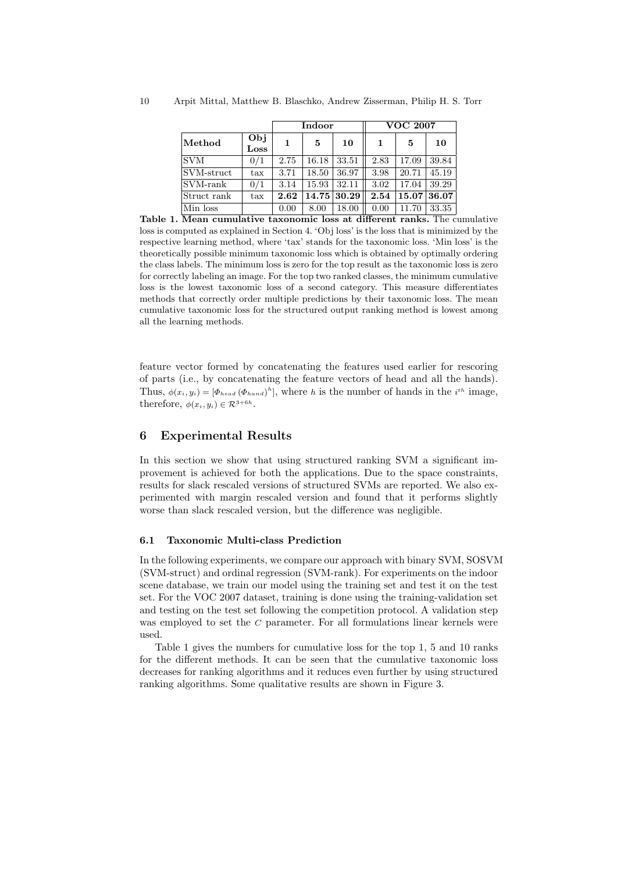|             |              | Indoor |       |                     | <b>VOC 2007</b> |       |       |
|-------------|--------------|--------|-------|---------------------|-----------------|-------|-------|
| Method      | Obj<br>Loss  | 1      | 5     | 10                  | 1               | 5     | 10    |
| <b>SVM</b>  | 0/1          | 2.75   | 16.18 | 33.51               | 2.83            | 17.09 | 39.84 |
| SVM-struct  | $\text{tax}$ | 3.71   | 18.50 | 36.97               | 3.98            | 20.71 | 45.19 |
| SVM-rank    | 0/1          | 3.14   | 15.93 | 32.11               | 3.02            | 17.04 | 39.29 |
| Struct rank | $\text{tax}$ | 2.62   |       | $14.75 \, \, 30.29$ | 2.54            | 15.07 | 36.07 |
| Min loss    |              | 0.00   | 8.00  | 18.00               | 0.00            | 11.70 | 33.35 |

Table 1. Mean cumulative taxonomic loss at different ranks. The cumulative loss is computed as explained in Section 4. 'Obj loss' is the loss that is minimized by the respective learning method, where 'tax' stands for the taxonomic loss. 'Min loss' is the theoretically possible minimum taxonomic loss which is obtained by optimally ordering the class labels. The minimum loss is zero for the top result as the taxonomic loss is zero for correctly labeling an image. For the top two ranked classes, the minimum cumulative loss is the lowest taxonomic loss of a second category. This measure differentiates methods that correctly order multiple predictions by their taxonomic loss. The mean cumulative taxonomic loss for the structured output ranking method is lowest among all the learning methods.

feature vector formed by concatenating the features used earlier for rescoring of parts (i.e., by concatenating the feature vectors of head and all the hands). Thus,  $\phi(x_i, y_i) = [\Phi_{head}(\Phi_{hand})^h]$ , where h is the number of hands in the  $i^{th}$  image, therefore,  $\phi(x_i, y_i) \in \mathcal{R}^{3+6h}$ .

### 6 Experimental Results

In this section we show that using structured ranking SVM a significant improvement is achieved for both the applications. Due to the space constraints, results for slack rescaled versions of structured SVMs are reported. We also experimented with margin rescaled version and found that it performs slightly worse than slack rescaled version, but the difference was negligible.

#### 6.1 Taxonomic Multi-class Prediction

In the following experiments, we compare our approach with binary SVM, SOSVM (SVM-struct) and ordinal regression (SVM-rank). For experiments on the indoor scene database, we train our model using the training set and test it on the test set. For the VOC 2007 dataset, training is done using the training-validation set and testing on the test set following the competition protocol. A validation step was employed to set the  $C$  parameter. For all formulations linear kernels were used.

Table 1 gives the numbers for cumulative loss for the top 1, 5 and 10 ranks for the different methods. It can be seen that the cumulative taxonomic loss decreases for ranking algorithms and it reduces even further by using structured ranking algorithms. Some qualitative results are shown in Figure 3.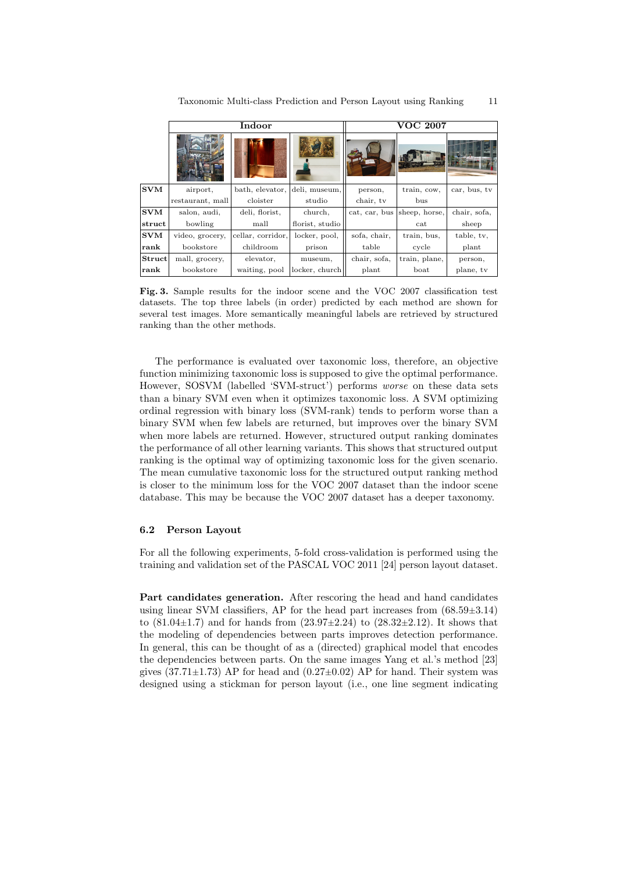|            |                  | Indoor            |                 | <b>VOC 2007</b> |                             |              |  |
|------------|------------------|-------------------|-----------------|-----------------|-----------------------------|--------------|--|
|            |                  |                   |                 |                 |                             |              |  |
| <b>SVM</b> | airport,         | bath, elevator,   | deli, museum,   | person,         | train, cow,                 | car, bus, tv |  |
|            | restaurant, mall | cloister          | studio          | chair, tv       | bus                         |              |  |
| <b>SVM</b> | salon, audi,     | deli, florist,    | church,         |                 | cat, car, bus sheep, horse, | chair, sofa, |  |
| struct     | bowling          | mall              | florist, studio |                 | cat                         | sheep        |  |
| <b>SVM</b> | video, grocery,  | cellar, corridor, | locker, pool,   | sofa, chair,    | train, bus,                 | table, tv,   |  |
| rank       | bookstore        | childroom         | prison          | table           | cycle                       | plant        |  |
| Struct     | mall, grocery,   | elevator,         | museum,         | chair, sofa,    | train, plane,               | person,      |  |
| rank       | bookstore        | waiting, pool     | locker, church  | plant           | boat                        | plane, tv    |  |

Fig. 3. Sample results for the indoor scene and the VOC 2007 classification test datasets. The top three labels (in order) predicted by each method are shown for several test images. More semantically meaningful labels are retrieved by structured ranking than the other methods.

The performance is evaluated over taxonomic loss, therefore, an objective function minimizing taxonomic loss is supposed to give the optimal performance. However, SOSVM (labelled 'SVM-struct') performs worse on these data sets than a binary SVM even when it optimizes taxonomic loss. A SVM optimizing ordinal regression with binary loss (SVM-rank) tends to perform worse than a binary SVM when few labels are returned, but improves over the binary SVM when more labels are returned. However, structured output ranking dominates the performance of all other learning variants. This shows that structured output ranking is the optimal way of optimizing taxonomic loss for the given scenario. The mean cumulative taxonomic loss for the structured output ranking method is closer to the minimum loss for the VOC 2007 dataset than the indoor scene database. This may be because the VOC 2007 dataset has a deeper taxonomy.

#### 6.2 Person Layout

For all the following experiments, 5-fold cross-validation is performed using the training and validation set of the PASCAL VOC 2011 [24] person layout dataset.

Part candidates generation. After rescoring the head and hand candidates using linear SVM classifiers, AP for the head part increases from  $(68.59 \pm 3.14)$ to  $(81.04 \pm 1.7)$  and for hands from  $(23.97 \pm 2.24)$  to  $(28.32 \pm 2.12)$ . It shows that the modeling of dependencies between parts improves detection performance. In general, this can be thought of as a (directed) graphical model that encodes the dependencies between parts. On the same images Yang et al.'s method [23] gives  $(37.71 \pm 1.73)$  AP for head and  $(0.27 \pm 0.02)$  AP for hand. Their system was designed using a stickman for person layout (i.e., one line segment indicating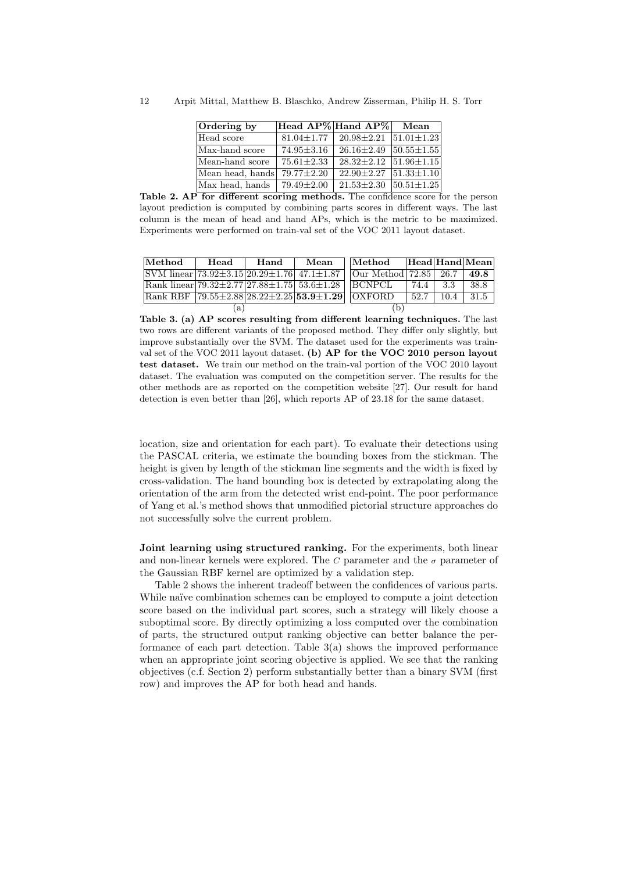| Ordering by      |                  | Head AP% Hand AP% | Mean                    |
|------------------|------------------|-------------------|-------------------------|
| Head score       | $81.04 \pm 1.77$ | $20.98 + 2.21$    | $ 51.01 \pm 1.23 $      |
| Max-hand score   | $74.95 + 3.16$   | $26.16 + 2.49$    | $\sqrt{50.55} \pm 1.55$ |
| Mean-hand score  | $75.61 + 2.33$   | $28.32 + 2.12$    | $51.96 \pm 1.15$        |
| Mean head, hands | $79.77 \pm 2.20$ | $22.90 \pm 2.27$  | $51.33 \pm 1.10$        |
| Max head, hands  | $79.49 \pm 2.00$ | $21.53 \pm 2.30$  | $ 50.51 \pm 1.25 $      |

12 Arpit Mittal, Matthew B. Blaschko, Andrew Zisserman, Philip H. S. Torr

Table 2. AP for different scoring methods. The confidence score for the person layout prediction is computed by combining parts scores in different ways. The last column is the mean of head and hand APs, which is the metric to be maximized. Experiments were performed on train-val set of the VOC 2011 layout dataset.

| Method                                                                   | Head | Hand | Mean | Method                    |      |      | Head Hand Mean |
|--------------------------------------------------------------------------|------|------|------|---------------------------|------|------|----------------|
| $\text{ISVM linear}$ $\text{[73.92\pm3.15]20.29\pm1.76}$ 47.1 $\pm$ 1.87 |      |      |      | Our Method   72.85   26.7 |      |      | 49.8           |
| Rank linear $79.32 \pm 2.7727.88 \pm 1.75$ 53.6 $\pm 1.28$               |      |      |      | BCNPCL                    | 74.4 | 3.3  | 38.8           |
| Rank RBF $ 79.55 \pm 2.88 28.22 \pm 2.25 53.9 \pm 1.29 $                 |      |      |      | <b>OXFORD</b>             | 52.7 | 10.4 | 31.5           |
| `a                                                                       |      |      |      | b                         |      |      |                |

Table 3. (a) AP scores resulting from different learning techniques. The last two rows are different variants of the proposed method. They differ only slightly, but improve substantially over the SVM. The dataset used for the experiments was trainval set of the VOC 2011 layout dataset. (b) AP for the VOC 2010 person layout test dataset. We train our method on the train-val portion of the VOC 2010 layout dataset. The evaluation was computed on the competition server. The results for the other methods are as reported on the competition website [27]. Our result for hand detection is even better than [26], which reports AP of 23.18 for the same dataset.

location, size and orientation for each part). To evaluate their detections using the PASCAL criteria, we estimate the bounding boxes from the stickman. The height is given by length of the stickman line segments and the width is fixed by cross-validation. The hand bounding box is detected by extrapolating along the orientation of the arm from the detected wrist end-point. The poor performance of Yang et al.'s method shows that unmodified pictorial structure approaches do not successfully solve the current problem.

Joint learning using structured ranking. For the experiments, both linear and non-linear kernels were explored. The C parameter and the  $\sigma$  parameter of the Gaussian RBF kernel are optimized by a validation step.

Table 2 shows the inherent tradeoff between the confidences of various parts. While naïve combination schemes can be employed to compute a joint detection score based on the individual part scores, such a strategy will likely choose a suboptimal score. By directly optimizing a loss computed over the combination of parts, the structured output ranking objective can better balance the performance of each part detection. Table 3(a) shows the improved performance when an appropriate joint scoring objective is applied. We see that the ranking objectives (c.f. Section 2) perform substantially better than a binary SVM (first row) and improves the AP for both head and hands.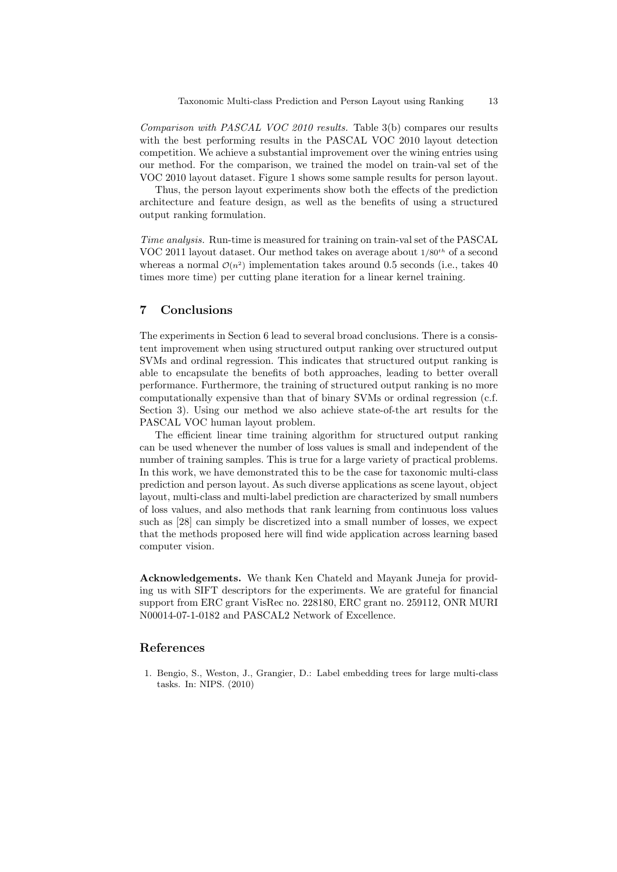Comparison with PASCAL VOC 2010 results. Table 3(b) compares our results with the best performing results in the PASCAL VOC 2010 layout detection competition. We achieve a substantial improvement over the wining entries using our method. For the comparison, we trained the model on train-val set of the VOC 2010 layout dataset. Figure 1 shows some sample results for person layout.

Thus, the person layout experiments show both the effects of the prediction architecture and feature design, as well as the benefits of using a structured output ranking formulation.

Time analysis. Run-time is measured for training on train-val set of the PASCAL VOC 2011 layout dataset. Our method takes on average about  $1/80^{th}$  of a second whereas a normal  $\mathcal{O}(n^2)$  implementation takes around 0.5 seconds (i.e., takes 40 times more time) per cutting plane iteration for a linear kernel training.

#### 7 Conclusions

The experiments in Section 6 lead to several broad conclusions. There is a consistent improvement when using structured output ranking over structured output SVMs and ordinal regression. This indicates that structured output ranking is able to encapsulate the benefits of both approaches, leading to better overall performance. Furthermore, the training of structured output ranking is no more computationally expensive than that of binary SVMs or ordinal regression (c.f. Section 3). Using our method we also achieve state-of-the art results for the PASCAL VOC human layout problem.

The efficient linear time training algorithm for structured output ranking can be used whenever the number of loss values is small and independent of the number of training samples. This is true for a large variety of practical problems. In this work, we have demonstrated this to be the case for taxonomic multi-class prediction and person layout. As such diverse applications as scene layout, object layout, multi-class and multi-label prediction are characterized by small numbers of loss values, and also methods that rank learning from continuous loss values such as [28] can simply be discretized into a small number of losses, we expect that the methods proposed here will find wide application across learning based computer vision.

Acknowledgements. We thank Ken Chateld and Mayank Juneja for providing us with SIFT descriptors for the experiments. We are grateful for financial support from ERC grant VisRec no. 228180, ERC grant no. 259112, ONR MURI N00014-07-1-0182 and PASCAL2 Network of Excellence.

## References

1. Bengio, S., Weston, J., Grangier, D.: Label embedding trees for large multi-class tasks. In: NIPS. (2010)